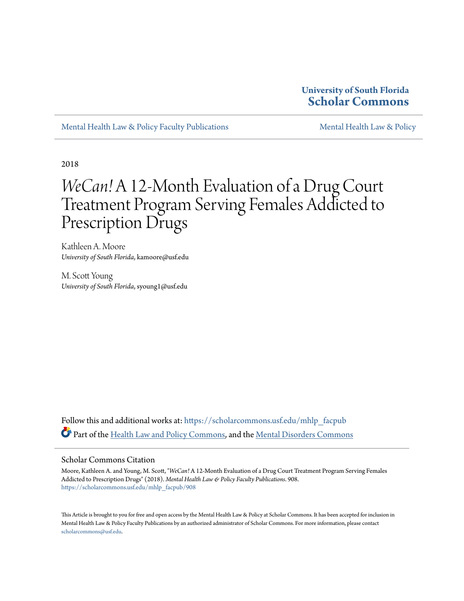#### **University of South Florida [Scholar Commons](https://scholarcommons.usf.edu?utm_source=scholarcommons.usf.edu%2Fmhlp_facpub%2F908&utm_medium=PDF&utm_campaign=PDFCoverPages)**

[Mental Health Law & Policy Faculty Publications](https://scholarcommons.usf.edu/mhlp_facpub?utm_source=scholarcommons.usf.edu%2Fmhlp_facpub%2F908&utm_medium=PDF&utm_campaign=PDFCoverPages) [Mental Health Law & Policy](https://scholarcommons.usf.edu/mhlp?utm_source=scholarcommons.usf.edu%2Fmhlp_facpub%2F908&utm_medium=PDF&utm_campaign=PDFCoverPages)

2018

## *WeCan!* A 12-Month Evaluation of a Drug Court Treatment Program Serving Females Addicted to Prescription Drugs

Kathleen A. Moore *University of South Florida*, kamoore@usf.edu

M. Scott Young *University of South Florida*, syoung1@usf.edu

Follow this and additional works at: [https://scholarcommons.usf.edu/mhlp\\_facpub](https://scholarcommons.usf.edu/mhlp_facpub?utm_source=scholarcommons.usf.edu%2Fmhlp_facpub%2F908&utm_medium=PDF&utm_campaign=PDFCoverPages) Part of the [Health Law and Policy Commons](http://network.bepress.com/hgg/discipline/901?utm_source=scholarcommons.usf.edu%2Fmhlp_facpub%2F908&utm_medium=PDF&utm_campaign=PDFCoverPages), and the [Mental Disorders Commons](http://network.bepress.com/hgg/discipline/968?utm_source=scholarcommons.usf.edu%2Fmhlp_facpub%2F908&utm_medium=PDF&utm_campaign=PDFCoverPages)

#### Scholar Commons Citation

Moore, Kathleen A. and Young, M. Scott, "*WeCan!* A 12-Month Evaluation of a Drug Court Treatment Program Serving Females Addicted to Prescription Drugs" (2018). *Mental Health Law & Policy Faculty Publications*. 908. [https://scholarcommons.usf.edu/mhlp\\_facpub/908](https://scholarcommons.usf.edu/mhlp_facpub/908?utm_source=scholarcommons.usf.edu%2Fmhlp_facpub%2F908&utm_medium=PDF&utm_campaign=PDFCoverPages)

This Article is brought to you for free and open access by the Mental Health Law & Policy at Scholar Commons. It has been accepted for inclusion in Mental Health Law & Policy Faculty Publications by an authorized administrator of Scholar Commons. For more information, please contact [scholarcommons@usf.edu](mailto:scholarcommons@usf.edu).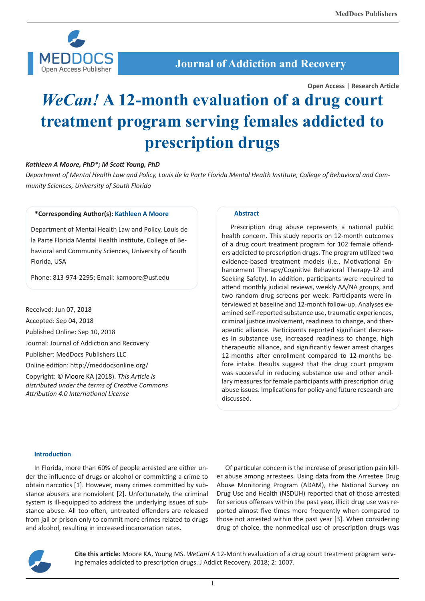

### **Journal of Addiction and Recovery**

**Open Access | Research Article**

# *WeCan!* **A 12-month evaluation of a drug court treatment program serving females addicted to prescription drugs**

#### *Kathleen A Moore, PhD\*; M Scott Young, PhD*

*Department of Mental Health Law and Policy, Louis de la Parte Florida Mental Health Institute, College of Behavioral and Community Sciences, University of South Florida*

#### **\*Corresponding Author(s): Kathleen A Moore**

Department of Mental Health Law and Policy, Louis de la Parte Florida Mental Health Institute, College of Behavioral and Community Sciences, University of South Florida, USA

Phone: 813-974-2295; Email: kamoore@usf.edu

Received: Jun 07, 2018 Accepted: Sep 04, 2018 Published Online: Sep 10, 2018 Journal: Journal of Addiction and Recovery Publisher: MedDocs Publishers LLC Online edition: http://meddocsonline.org/ Copyright: © Moore KA (2018). *This Article is distributed under the terms of Creative Commons Attribution 4.0 International License*

#### **Abstract**

Prescription drug abuse represents a national public health concern. This study reports on 12-month outcomes of a drug court treatment program for 102 female offenders addicted to prescription drugs. The program utilized two evidence-based treatment models (i.e., Motivational Enhancement Therapy/Cognitive Behavioral Therapy-12 and Seeking Safety). In addition, participants were required to attend monthly judicial reviews, weekly AA/NA groups, and two random drug screens per week. Participants were interviewed at baseline and 12-month follow-up. Analyses examined self-reported substance use, traumatic experiences, criminal justice involvement, readiness to change, and therapeutic alliance. Participants reported significant decreases in substance use, increased readiness to change, high therapeutic alliance, and significantly fewer arrest charges 12-months after enrollment compared to 12-months before intake. Results suggest that the drug court program was successful in reducing substance use and other ancillary measures for female participants with prescription drug abuse issues. Implications for policy and future research are discussed.

#### **Introduction**

In Florida, more than 60% of people arrested are either under the influence of drugs or alcohol or committing a crime to obtain narcotics [1]. However, many crimes committed by substance abusers are nonviolent [2]. Unfortunately, the criminal system is ill-equipped to address the underlying issues of substance abuse. All too often, untreated offenders are released from jail or prison only to commit more crimes related to drugs and alcohol, resulting in increased incarceration rates.

Of particular concern is the increase of prescription pain killer abuse among arrestees. Using data from the Arrestee Drug Abuse Monitoring Program (ADAM), the National Survey on Drug Use and Health (NSDUH) reported that of those arrested for serious offenses within the past year, illicit drug use was reported almost five times more frequently when compared to those not arrested within the past year [3]. When considering drug of choice, the nonmedical use of prescription drugs was



**Cite this article:** Moore KA, Young MS. *WeCan!* A 12-Month evaluation of a drug court treatment program serving females addicted to prescription drugs. J Addict Recovery. 2018; 2: 1007.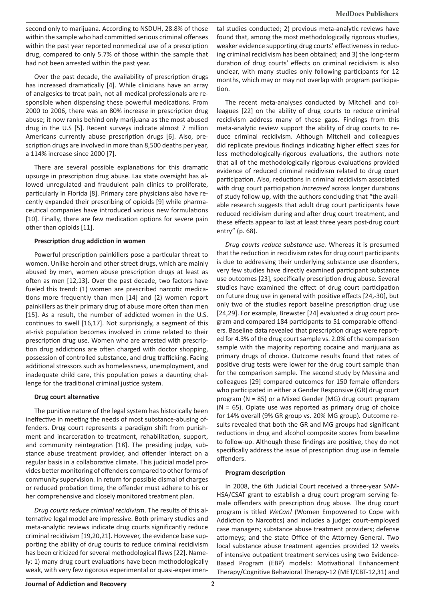second only to marijuana. According to NSDUH, 28.8% of those within the sample who had committed serious criminal offenses within the past year reported nonmedical use of a prescription drug, compared to only 5.7% of those within the sample that had not been arrested within the past year.

Over the past decade, the availability of prescription drugs has increased dramatically [4]. While clinicians have an array of analgesics to treat pain, not all medical professionals are responsible when dispensing these powerful medications. From 2000 to 2006, there was an 80% increase in prescription drug abuse; it now ranks behind only marijuana as the most abused drug in the U.S [5]. Recent surveys indicate almost 7 million Americans currently abuse prescription drugs [6]. Also, prescription drugs are involved in more than 8,500 deaths per year, a 114% increase since 2000 [7].

There are several possible explanations for this dramatic upsurge in prescription drug abuse. Lax state oversight has allowed unregulated and fraudulent pain clinics to proliferate, particularly in Florida [8]. Primary care physicians also have recently expanded their prescribing of opioids [9] while pharmaceutical companies have introduced various new formulations [10]. Finally, there are few medication options for severe pain other than opioids [11].

#### **Prescription drug addiction in women**

Powerful prescription painkillers pose a particular threat to women. Unlike heroin and other street drugs, which are mainly abused by men, women abuse prescription drugs at least as often as men [12,13]. Over the past decade, two factors have fueled this trend: (1) women are prescribed narcotic medications more frequently than men [14] and (2) women report painkillers as their primary drug of abuse more often than men [15]. As a result, the number of addicted women in the U.S. continues to swell [16,17]. Not surprisingly, a segment of this at-risk population becomes involved in crime related to their prescription drug use. Women who are arrested with prescription drug addictions are often charged with doctor shopping, possession of controlled substance, and drug trafficking. Facing additional stressors such as homelessness, unemployment, and inadequate child care, this population poses a daunting challenge for the traditional criminal justice system.

#### **Drug court alternative**

The punitive nature of the legal system has historically been ineffective in meeting the needs of most substance-abusing offenders. Drug court represents a paradigm shift from punishment and incarceration to treatment, rehabilitation, support, and community reintegration [18]. The presiding judge, substance abuse treatment provider, and offender interact on a regular basis in a collaborative climate. This judicial model provides better monitoring of offenders compared to other forms of community supervision. In return for possible dismal of charges or reduced probation time, the offender must adhere to his or her comprehensive and closely monitored treatment plan.

*Drug courts reduce criminal recidivism*. The results of this alternative legal model are impressive. Both primary studies and meta-analytic reviews indicate drug courts significantly reduce criminal recidivism [19,20,21]. However, the evidence base supporting the ability of drug courts to reduce criminal recidivism has been criticized for several methodological flaws [22]. Namely: 1) many drug court evaluations have been methodologically weak, with very few rigorous experimental or quasi-experimental studies conducted; 2) previous meta-analytic reviews have found that, among the most methodologically rigorous studies, weaker evidence supporting drug courts' effectiveness in reducing criminal recidivism has been obtained; and 3) the long-term duration of drug courts' effects on criminal recidivism is also unclear, with many studies only following participants for 12 months, which may or may not overlap with program participation.

The recent meta-analyses conducted by Mitchell and colleagues [22] on the ability of drug courts to reduce criminal recidivism address many of these gaps. Findings from this meta-analytic review support the ability of drug courts to reduce criminal recidivism. Although Mitchell and colleagues did replicate previous findings indicating higher effect sizes for less methodologically-rigorous evaluations, the authors note that all of the methodologically rigorous evaluations provided evidence of reduced criminal recidivism related to drug court participation. Also, reductions in criminal recidivism associated with drug court participation *increased* across longer durations of study follow-up, with the authors concluding that "the available research suggests that adult drug court participants have reduced recidivism during and after drug court treatment, and these effects appear to last at least three years post-drug court entry" (p. 68).

*Drug courts reduce substance use.* Whereas it is presumed that the reduction in recidivism rates for drug court participants is due to addressing their underlying substance use disorders, very few studies have directly examined participant substance use outcomes [23], specifically prescription drug abuse. Several studies have examined the effect of drug court participation on future drug use in general with positive effects [24,-30], but only two of the studies report baseline prescription drug use [24,29]. For example, Brewster [24] evaluated a drug court program and compared 184 participants to 51 comparable offenders. Baseline data revealed that prescription drugs were reported for 4.3% of the drug court sample vs. 2.0% of the comparison sample with the majority reporting cocaine and marijuana as primary drugs of choice. Outcome results found that rates of positive drug tests were lower for the drug court sample than for the comparison sample. The second study by Messina and colleagues [29] compared outcomes for 150 female offenders who participated in either a Gender Responsive (GR) drug court program (N = 85) or a Mixed Gender (MG) drug court program  $(N = 65)$ . Opiate use was reported as primary drug of choice for 14% overall (9% GR group vs. 20% MG group). Outcome results revealed that both the GR and MG groups had significant reductions in drug and alcohol composite scores from baseline to follow-up. Although these findings are positive, they do not specifically address the issue of prescription drug use in female offenders.

#### **Program description**

In 2008, the 6th Judicial Court received a three-year SAM-HSA/CSAT grant to establish a drug court program serving female offenders with prescription drug abuse. The drug court program is titled *WeCan!* (Women Empowered to Cope with Addiction to Narcotics) and includes a judge; court-employed case managers; substance abuse treatment providers; defense attorneys; and the state Office of the Attorney General. Two local substance abuse treatment agencies provided 12 weeks of intensive outpatient treatment services using two Evidence-Based Program (EBP) models: Motivational Enhancement Therapy/Cognitive Behavioral Therapy-12 (MET/CBT-12,31) and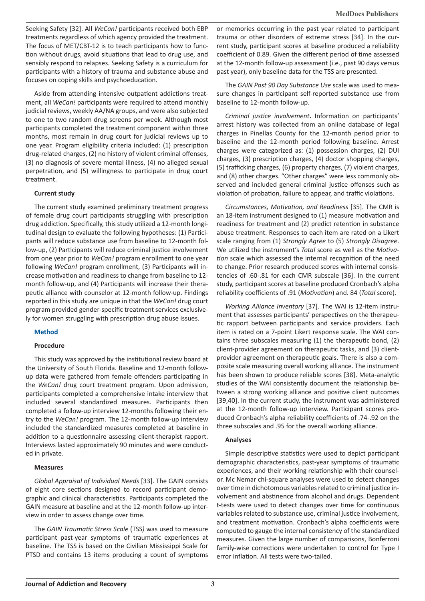Seeking Safety [32]. All *WeCan!* participants received both EBP treatments regardless of which agency provided the treatment. The focus of MET/CBT-12 is to teach participants how to function without drugs, avoid situations that lead to drug use, and sensibly respond to relapses. Seeking Safety is a curriculum for participants with a history of trauma and substance abuse and focuses on coping skills and psychoeducation.

Aside from attending intensive outpatient addictions treatment, all *WeCan!* participants were required to attend monthly judicial reviews, weekly AA/NA groups, and were also subjected to one to two random drug screens per week. Although most participants completed the treatment component within three months, most remain in drug court for judicial reviews up to one year. Program eligibility criteria included: (1) prescription drug-related charges, (2) no history of violent criminal offenses, (3) no diagnosis of severe mental illness, (4) no alleged sexual perpetration, and (5) willingness to participate in drug court treatment.

#### **Current study**

The current study examined preliminary treatment progress of female drug court participants struggling with prescription drug addiction. Specifically, this study utilized a 12-month longitudinal design to evaluate the following hypotheses: (1) Participants will reduce substance use from baseline to 12-month follow-up, (2) Participants will reduce criminal justice involvement from one year prior to *WeCan!* program enrollment to one year following *WeCan!* program enrollment, (3) Participants will increase motivation and readiness to change from baseline to 12 month follow-up, and (4) Participants will increase their therapeutic alliance with counselor at 12-month follow-up. Findings reported in this study are unique in that the *WeCan!* drug court program provided gender-specific treatment services exclusively for women struggling with prescription drug abuse issues.

#### **Method**

#### **Procedure**

This study was approved by the institutional review board at the University of South Florida. Baseline and 12-month followup data were gathered from female offenders participating in the *WeCan!* drug court treatment program. Upon admission, participants completed a comprehensive intake interview that included several standardized measures. Participants then completed a follow-up interview 12-months following their entry to the *WeCan!* program. The 12-month follow-up interview included the standardized measures completed at baseline in addition to a questionnaire assessing client-therapist rapport. Interviews lasted approximately 90 minutes and were conducted in private.

#### **Measures**

*Global Appraisal of Individual Needs* [33]. The GAIN consists of eight core sections designed to record participant demographic and clinical characteristics. Participants completed the GAIN measure at baseline and at the 12-month follow-up interview in order to assess change over time.

The *GAIN Traumatic Stress Scale* (TSS*)* was used to measure participant past-year symptoms of traumatic experiences at baseline. The TSS is based on the Civilian Mississippi Scale for PTSD and contains 13 items producing a count of symptoms or memories occurring in the past year related to participant trauma or other disorders of extreme stress [34]. In the current study, participant scores at baseline produced a reliability coefficient of 0.89. Given the different period of time assessed at the 12-month follow-up assessment (i.e., past 90 days versus past year), only baseline data for the TSS are presented.

The *GAIN Past 90 Day Substance Use* scale was used to measure changes in participant self-reported substance use from baseline to 12-month follow-up.

*Criminal justice involvement***.** Information on participants' arrest history was collected from an online database of legal charges in Pinellas County for the 12-month period prior to baseline and the 12-month period following baseline. Arrest charges were categorized as: (1) possession charges, (2) DUI charges, (3) prescription charges, (4) doctor shopping charges, (5) trafficking charges, (6) property charges, (7) violent charges, and (8) other charges. "Other charges" were less commonly observed and included general criminal justice offenses such as violation of probation, failure to appear, and traffic violations.

*Circumstances, Motivation, and Readiness* [35]. The CMR is an 18-item instrument designed to (1) measure motivation and readiness for treatment and (2) predict retention in substance abuse treatment. Responses to each item are rated on a Likert scale ranging from (1) *Strongly Agree* to (5) *Strongly Disagree*. We utilized the instrument's *Total* score as well as the *Motivation* scale which assessed the internal recognition of the need to change. Prior research produced scores with internal consistencies of .60-.81 for each CMR subscale [36]. In the current study, participant scores at baseline produced Cronbach's alpha reliability coefficients of .91 (*Motivation*) and. 84 (*Total* score).

*Working Alliance Inventory* [37]. The WAI is 12-item instrument that assesses participants' perspectives on the therapeutic rapport between participants and service providers. Each item is rated on a 7-point Likert response scale. The WAI contains three subscales measuring (1) the therapeutic bond, (2) client-provider agreement on therapeutic tasks, and (3) clientprovider agreement on therapeutic goals. There is also a composite scale measuring overall working alliance. The instrument has been shown to produce reliable scores [38]. Meta-analytic studies of the WAI consistently document the relationship between a strong working alliance and positive client outcomes [39,40]. In the current study, the instrument was administered at the 12-month follow-up interview. Participant scores produced Cronbach's alpha reliability coefficients of .74-.92 on the three subscales and .95 for the overall working alliance.

#### **Analyses**

Simple descriptive statistics were used to depict participant demographic characteristics, past-year symptoms of traumatic experiences, and their working relationship with their counselor. Mc Nemar chi-square analyses were used to detect changes over time in dichotomous variables related to criminal justice involvement and abstinence from alcohol and drugs. Dependent t-tests were used to detect changes over time for continuous variables related to substance use, criminal justice involvement, and treatment motivation. Cronbach's alpha coefficients were computed to gauge the internal consistency of the standardized measures. Given the large number of comparisons, Bonferroni family-wise corrections were undertaken to control for Type I error inflation. All tests were two-tailed.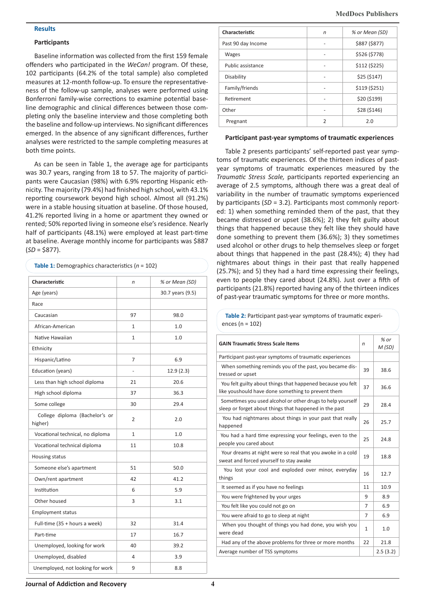#### **Results**

#### **Participants**

Baseline information was collected from the first 159 female offenders who participated in the *WeCan!* program. Of these, 102 participants (64.2% of the total sample) also completed measures at 12-month follow-up. To ensure the representativeness of the follow-up sample, analyses were performed using Bonferroni family-wise corrections to examine potential baseline demographic and clinical differences between those completing only the baseline interview and those completing both the baseline and follow-up interviews. No significant differences emerged. In the absence of any significant differences, further analyses were restricted to the sample completing measures at both time points.

As can be seen in Table 1, the average age for participants was 30.7 years, ranging from 18 to 57. The majority of participants were Caucasian (98%) with 6.9% reporting Hispanic ethnicity. The majority (79.4%) had finished high school, with 43.1% reporting coursework beyond high school. Almost all (91.2%) were in a stable housing situation at baseline. Of those housed, 41.2% reported living in a home or apartment they owned or rented; 50% reported living in someone else's residence. Nearly half of participants (48.1%) were employed at least part-time at baseline. Average monthly income for participants was \$887 (*SD* = \$877).

| Characteristic                            | n              | % or Mean (SD)   |  |
|-------------------------------------------|----------------|------------------|--|
| Age (years)                               |                | 30.7 years (9.5) |  |
| Race                                      |                |                  |  |
| Caucasian                                 | 97             | 98.0             |  |
| African-American                          | $\mathbf{1}$   | 1.0              |  |
| Native Hawaiian                           | $\mathbf{1}$   | 1.0              |  |
| Ethnicity                                 |                |                  |  |
| Hispanic/Latino                           | 7              | 6.9              |  |
| Education (years)                         | L,             | 12.9(2.3)        |  |
| Less than high school diploma             | 21             | 20.6             |  |
| High school diploma                       | 37             | 36.3             |  |
| Some college                              | 30             | 29.4             |  |
| College diploma (Bachelor's or<br>higher) | $\overline{2}$ | 2.0              |  |
| Vocational technical, no diploma          | $\mathbf{1}$   | 1.0              |  |
| Vocational technical diploma              | 11             | 10.8             |  |
| Housing status                            |                |                  |  |
| Someone else's apartment                  | 51             | 50.0             |  |
| Own/rent apartment                        | 42             | 41.2             |  |
| Institution                               | 6              | 5.9              |  |
| Other housed                              | 3              | 3.1              |  |
| <b>Employment status</b>                  |                |                  |  |
| Full-time (35 + hours a week)             | 32             | 31.4             |  |
| Part-time                                 | 17             | 16.7             |  |
| Unemployed, looking for work              | 40             | 39.2             |  |
| Unemployed, disabled                      | 4              | 3.9              |  |
| Unemployed, not looking for work          | 9              | 8.8              |  |

| Characteristic     | n | % or Mean (SD) |
|--------------------|---|----------------|
| Past 90 day Income |   | \$887 (\$877)  |
| <b>Wages</b>       |   | \$526 (\$778)  |
| Public assistance  |   | \$112 (\$225)  |
| Disability         |   | \$25 (\$147)   |
| Family/friends     |   | \$119 (\$251)  |
| Retirement         |   | \$20 (\$199)   |
| Other              |   | \$28 (\$146)   |
| Pregnant           | 2 | 2.0            |

#### **Participant past-year symptoms of traumatic experiences**

Table 2 presents participants' self-reported past year symptoms of traumatic experiences. Of the thirteen indices of pastyear symptoms of traumatic experiences measured by the *Traumatic Stress Scale,* participants reported experiencing an average of 2.5 symptoms, although there was a great deal of variability in the number of traumatic symptoms experienced by participants (*SD* = 3.2). Participants most commonly reported: 1) when something reminded them of the past, that they became distressed or upset (38.6%); 2) they felt guilty about things that happened because they felt like they should have done something to prevent them (36.6%); 3) they sometimes used alcohol or other drugs to help themselves sleep or forget about things that happened in the past (28.4%); 4) they had nightmares about things in their past that really happened (25.7%); and 5) they had a hard time expressing their feelings, even to people they cared about (24.8%). Just over a fifth of participants (21.8%) reported having any of the thirteen indices of past-year traumatic symptoms for three or more months.

**Table 2:** Participant past-year symptoms of traumatic experiences (n = 102)

| <b>GAIN Traumatic Stress Scale Items</b>                                                                             | n              | $%$ or<br>M(SD) |
|----------------------------------------------------------------------------------------------------------------------|----------------|-----------------|
| Participant past-year symptoms of traumatic experiences                                                              |                |                 |
| When something reminds you of the past, you became dis-<br>tressed or upset                                          | 39             | 38.6            |
| You felt guilty about things that happened because you felt<br>like youshould have done something to prevent them    | 37             | 36.6            |
| Sometimes you used alcohol or other drugs to help yourself<br>sleep or forget about things that happened in the past | 29             | 28.4            |
| You had nightmares about things in your past that really<br>happened                                                 | 26             | 25.7            |
| You had a hard time expressing your feelings, even to the<br>people you cared about                                  | 25             | 24.8            |
| Your dreams at night were so real that you awoke in a cold<br>sweat and forced yourself to stay awake                | 19             | 18.8            |
| You lost your cool and exploded over minor, everyday<br>things                                                       | 16             | 12.7            |
| It seemed as if you have no feelings                                                                                 | 11             | 10.9            |
| You were frightened by your urges                                                                                    | 9              | 8.9             |
| You felt like you could not go on                                                                                    | 7              | 6.9             |
| You were afraid to go to sleep at night                                                                              | $\overline{7}$ | 6.9             |
| When you thought of things you had done, you wish you<br>were dead                                                   | $\mathbf{1}$   | 1.0             |
| Had any of the above problems for three or more months                                                               | 22             | 21.8            |
| Average number of TSS symptoms                                                                                       |                | 2.5(3.2)        |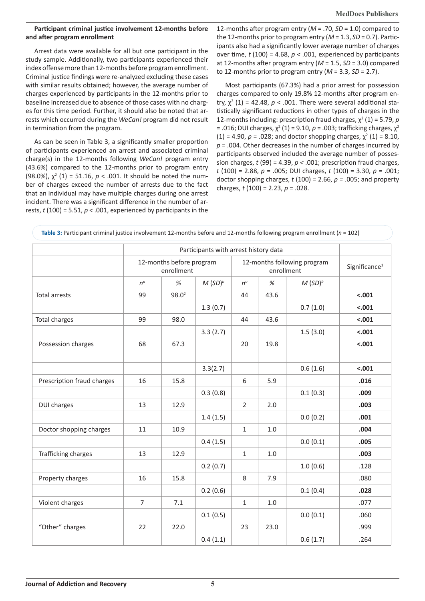#### **Participant criminal justice involvement 12-months before and after program enrollment**

Arrest data were available for all but one participant in the study sample. Additionally, two participants experienced their index offense more than 12-months before program enrollment. Criminal justice findings were re-analyzed excluding these cases with similar results obtained; however, the average number of charges experienced by participants in the 12-months prior to baseline increased due to absence of those cases with no charges for this time period. Further, it should also be noted that arrests which occurred during the *WeCan!* program did not result in termination from the program.

As can be seen in Table 3, a significantly smaller proportion of participants experienced an arrest and associated criminal charge(s) in the 12-months following *WeCan!* program entry (43.6%) compared to the 12-months prior to program entry (98.0%),  $\chi^2$  (1) = 51.16,  $p < .001$ . It should be noted the number of charges exceed the number of arrests due to the fact that an individual may have multiple charges during one arrest incident. There was a significant difference in the number of arrests, *t* (100) = 5.51, *p <* .001, experienced by participants in the

12-months after program entry (*M* = .70, *SD* = 1.0) compared to the 12-months prior to program entry  $(M = 1.3, SD = 0.7)$ . Participants also had a significantly lower average number of charges over time,  $t(100) = 4.68$ ,  $p < .001$ , experienced by participants at 12-months after program entry (*M* = 1.5, *SD* = 3.0) compared to 12-months prior to program entry (*M* = 3.3, *SD* = 2.7).

Most participants (67.3%) had a prior arrest for possession charges compared to only 19.8% 12-months after program entry,  $\chi^2$  (1) = 42.48,  $p < .001$ . There were several additional statistically significant reductions in other types of charges in the 12-months including: prescription fraud charges,  $χ²(1) = 5.79$ ,  $p$ = .016; DUI charges,  $\chi^2$  (1) = 9.10, *p* = .003; trafficking charges,  $\chi^2$  $(1) = 4.90$ ,  $p = .028$ ; and doctor shopping charges,  $\chi^2$  (1) = 8.10, *p* = .004. Other decreases in the number of charges incurred by participants observed included the average number of possession charges, *t* (99) = 4.39, *p <* .001; prescription fraud charges, *t* (100) = 2.88, *p* = .005; DUI charges, *t* (100) = 3.30, *p =* .001; doctor shopping charges, *t* (100) = 2.66, *p =* .005; and property charges, *t* (100) = 2.23, *p* = .028.

|                            | Participants with arrest history data  |          |                                           |                |      |                           |         |  |  |
|----------------------------|----------------------------------------|----------|-------------------------------------------|----------------|------|---------------------------|---------|--|--|
|                            | 12-months before program<br>enrollment |          | 12-months following program<br>enrollment |                |      | Significance <sup>1</sup> |         |  |  |
|                            | $n^a$                                  | $\%$     | $M(SD)^b$                                 | $n^a$          | %    | $M(SD)^b$                 |         |  |  |
| <b>Total arrests</b>       | 99                                     | $98.0^2$ |                                           | 44             | 43.6 |                           | $-.001$ |  |  |
|                            |                                        |          | 1.3(0.7)                                  |                |      | 0.7(1.0)                  | < .001  |  |  |
| <b>Total charges</b>       | 99                                     | 98.0     |                                           | 44             | 43.6 |                           | $-.001$ |  |  |
|                            |                                        |          | 3.3(2.7)                                  |                |      | 1.5(3.0)                  | $-.001$ |  |  |
| Possession charges         | 68                                     | 67.3     |                                           | 20             | 19.8 |                           | < .001  |  |  |
|                            |                                        |          | 3.3(2.7)                                  |                |      | 0.6(1.6)                  | $-.001$ |  |  |
| Prescription fraud charges | 16                                     | 15.8     |                                           | 6              | 5.9  |                           | .016    |  |  |
|                            |                                        |          | 0.3(0.8)                                  |                |      | 0.1(0.3)                  | .009    |  |  |
| <b>DUI charges</b>         | 13                                     | 12.9     |                                           | $\overline{2}$ | 2.0  |                           | .003    |  |  |
|                            |                                        |          | 1.4(1.5)                                  |                |      | 0.0(0.2)                  | .001    |  |  |
| Doctor shopping charges    | 11                                     | 10.9     |                                           | $\mathbf{1}$   | 1.0  |                           | .004    |  |  |
|                            |                                        |          | 0.4(1.5)                                  |                |      | 0.0(0.1)                  | .005    |  |  |
| Trafficking charges        | 13                                     | 12.9     |                                           | $\mathbf{1}$   | 1.0  |                           | .003    |  |  |
|                            |                                        |          | 0.2(0.7)                                  |                |      | 1.0(0.6)                  | .128    |  |  |
| Property charges           | 16                                     | 15.8     |                                           | 8              | 7.9  |                           | .080    |  |  |
|                            |                                        |          | 0.2(0.6)                                  |                |      | 0.1(0.4)                  | .028    |  |  |
| Violent charges            | $\overline{7}$                         | 7.1      |                                           | $\mathbf{1}$   | 1.0  |                           | .077    |  |  |
|                            |                                        |          | 0.1(0.5)                                  |                |      | 0.0(0.1)                  | .060    |  |  |
| "Other" charges            | 22                                     | 22.0     |                                           | 23             | 23.0 |                           | .999    |  |  |
|                            |                                        |          | 0.4(1.1)                                  |                |      | 0.6(1.7)                  | .264    |  |  |

**Table 3:** Participant criminal justice involvement 12-months before and 12-months following program enrollment (*n* = 102)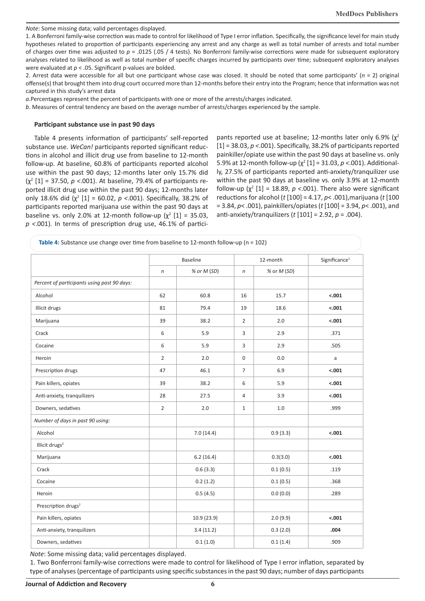*Note*: Some missing data; valid percentages displayed.

1. A Bonferroni family-wise correction was made to control for likelihood of Type I error inflation. Specifically, the significance level for main study hypotheses related to proportion of participants experiencing any arrest and any charge as well as total number of arrests and total number of charges over time was adjusted to *p* = .0125 (.05 / 4 tests). No Bonferroni family-wise corrections were made for subsequent exploratory analyses related to likelihood as well as total number of specific charges incurred by participants over time; subsequent exploratory analyses were evaluated at *p* < .05. Significant p-values are bolded.

2. Arrest data were accessible for all but one participant whose case was closed. It should be noted that some participants' (*n* = 2) original offense(s) that brought them into drug court occurred more than 12-months before their entry into the Program; hence that information was not captured in this study's arrest data

*a.*Percentages represent the percent of participants with one or more of the arrests/charges indicated.

*b*. Measures of central tendency are based on the average number of arrests/charges experienced by the sample.

#### **Participant substance use in past 90 days**

Table 4 presents information of participants' self-reported substance use. *WeCan!* participants reported significant reductions in alcohol and illicit drug use from baseline to 12-month follow-up. At baseline, 60.8% of participants reported alcohol use within the past 90 days; 12-months later only 15.7% did (χ<sup>2</sup> [1] = 37.50, *p <*.001). At baseline, 79.4% of participants reported illicit drug use within the past 90 days; 12-months later only 18.6% did  $(\chi^2 \left[1\right] = 60.02, p < .001)$ . Specifically, 38.2% of participants reported marijuana use within the past 90 days at baseline vs. only 2.0% at 12-month follow-up  $(\chi^2 \text{ [1]} = 35.03,$ *p <*.001). In terms of prescription drug use, 46.1% of participants reported use at baseline; 12-months later only 6.9% ( $\chi^2$ [1] = 38.03, *p <*.001). Specifically, 38.2% of participants reported painkiller/opiate use within the past 90 days at baseline vs. only 5.9% at 12-month follow-up ( $\chi^2$  [1] = 31.03, *p* <.001). Additionally, 27.5% of participants reported anti-anxiety/tranquilizer use within the past 90 days at baseline vs. only 3.9% at 12-month follow-up  $(\chi^2 \left[1\right] = 18.89, p < .001)$ . There also were significant reductions for alcohol (*t* [100] = 4.17, *p*< .001),marijuana (*t* [100 = 3.84, *p*< .001), painkillers/opiates (*t* [100] = 3.94, *p*< .001), and anti-anxiety/tranquilizers (*t* [101] = 2.92, *p* = .004).

|                                             | <b>Baseline</b> |             |                | 12-month    | Significance <sup>1</sup> |
|---------------------------------------------|-----------------|-------------|----------------|-------------|---------------------------|
|                                             | $\sqrt{n}$      | % or M (SD) | $\sqrt{n}$     | % or M (SD) |                           |
| Percent of participants using past 90 days: |                 |             |                |             |                           |
| Alcohol                                     | 62              | 60.8        | 16             | 15.7        | $-.001$                   |
| Illicit drugs                               | 81              | 79.4        | 19             | 18.6        | $-.001$                   |
| Marijuana                                   | 39              | 38.2        | $\overline{2}$ | 2.0         | $-.001$                   |
| Crack                                       | 6               | 5.9         | 3              | 2.9         | .371                      |
| Cocaine                                     | 6               | 5.9         | 3              | 2.9         | .505                      |
| Heroin                                      | $\overline{2}$  | 2.0         | $\mathbf 0$    | 0.0         | $\mathsf{a}$              |
| Prescription drugs                          | 47              | 46.1        | $\overline{7}$ | 6.9         | $-.001$                   |
| Pain killers, opiates                       | 39              | 38.2        | 6              | 5.9         | $-.001$                   |
| Anti-anxiety, tranquilizers                 | 28              | 27.5        | 4              | 3.9         | $-.001$                   |
| Downers, sedatives                          | $\overline{2}$  | 2.0         | $\mathbf{1}$   | 1.0         | .999                      |
| Number of days in past 90 using:            |                 |             |                |             |                           |
| Alcohol                                     |                 | 7.0(14.4)   |                | 0.9(3.3)    | $-.001$                   |
| Illicit drugs <sup>2</sup>                  |                 |             |                |             |                           |
| Marijuana                                   |                 | 6.2(16.4)   |                | 0.3(3.0)    | $-.001$                   |
| Crack                                       |                 | 0.6(3.3)    |                | 0.1(0.5)    | .119                      |
| Cocaine                                     |                 | 0.2(1.2)    |                | 0.1(0.5)    | .368                      |
| Heroin                                      |                 | 0.5(4.5)    |                | 0.0(0.0)    | .289                      |
| Prescription drugs <sup>2</sup>             |                 |             |                |             |                           |
| Pain killers, opiates                       |                 | 10.9(23.9)  |                | 2.0(9.9)    | $-.001$                   |
| Anti-anxiety, tranquilizers                 |                 | 3.4(11.2)   |                | 0.3(2.0)    | .004                      |
| Downers, sedatives                          |                 | 0.1(1.0)    |                | 0.1(1.4)    | .909                      |

*Note*: Some missing data; valid percentages displayed.

1. Two Bonferroni family-wise corrections were made to control for likelihood of Type I error inflation, separated by type of analyses (percentage of participants using specific substances in the past 90 days; number of days participants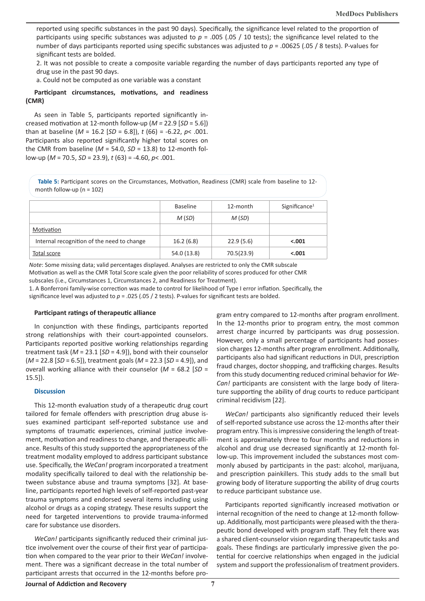reported using specific substances in the past 90 days). Specifically, the significance level related to the proportion of participants using specific substances was adjusted to *p* = .005 (.05 / 10 tests); the significance level related to the number of days participants reported using specific substances was adjusted to *p* = .00625 (.05 / 8 tests). P-values for significant tests are bolded.

2. It was not possible to create a composite variable regarding the number of days participants reported any type of drug use in the past 90 days.

a. Could not be computed as one variable was a constant

#### **Participant circumstances, motivations, and readiness (CMR)**

As seen in Table 5, participants reported significantly increased motivation at 12-month follow-up (*M =* 22.9 [*SD* = 5.6]) than at baseline (*M* = 16.2 [*SD* = 6.8]), *t* (66) = -6.22, *p*< .001. Participants also reported significantly higher total scores on the CMR from baseline ( $M = 54.0$ ,  $SD = 13.8$ ) to 12-month follow-up (*M* = 70.5, *SD* = 23.9), *t* (63) = -4.60, *p*< .001.

**Table 5:** Participant scores on the Circumstances, Motivation, Readiness (CMR) scale from baseline to 12 month follow-up ( $n = 102$ )

|                                            | <b>Baseline</b> | 12-month   | Significance <sup>1</sup> |
|--------------------------------------------|-----------------|------------|---------------------------|
|                                            | M(SD)           | M(SD)      |                           |
| Motivation                                 |                 |            |                           |
| Internal recognition of the need to change | 16.2(6.8)       | 22.9(5.6)  | $-.001$                   |
| Total score                                | 54.0 (13.8)     | 70.5(23.9) | $-.001$                   |

*Note*: Some missing data; valid percentages displayed. Analyses are restricted to only the CMR subscale Motivation as well as the CMR Total Score scale given the poor reliability of scores produced for other CMR subscales (i.e., Circumstances 1, Circumstances 2, and Readiness for Treatment).

1. A Bonferroni family-wise correction was made to control for likelihood of Type I error inflation. Specifically, the significance level was adjusted to *p* = .025 (.05 / 2 tests). P-values for significant tests are bolded.

## **Participant ratings of therapeutic alliance**

In conjunction with these findings, participants reported strong relationships with their court-appointed counselors. Participants reported positive working relationships regarding treatment task (*M* = 23.1 [*SD* = 4.9]), bond with their counselor (*M* = 22.8 [*SD* = 6.5]), treatment goals (*M* = 22.3 [*SD* = 4.9]), and overall working alliance with their counselor (*M* = 68.2 [*SD* = 15.5]).

#### **Discussion**

This 12-month evaluation study of a therapeutic drug court tailored for female offenders with prescription drug abuse issues examined participant self-reported substance use and symptoms of traumatic experiences, criminal justice involvement, motivation and readiness to change, and therapeutic alliance. Results of this study supported the appropriateness of the treatment modality employed to address participant substance use. Specifically, the *WeCan!* program incorporated a treatment modality specifically tailored to deal with the relationship between substance abuse and trauma symptoms [32]. At baseline, participants reported high levels of self-reported past-year trauma symptoms and endorsed several items including using alcohol or drugs as a coping strategy. These results support the need for targeted interventions to provide trauma-informed care for substance use disorders.

*WeCan!* participants significantly reduced their criminal justice involvement over the course of their first year of participation when compared to the year prior to their *WeCan!* involvement. There was a significant decrease in the total number of participant arrests that occurred in the 12-months before program entry compared to 12-months after program enrollment. In the 12-months prior to program entry, the most common arrest charge incurred by participants was drug possession. However, only a small percentage of participants had possession charges 12-months after program enrollment. Additionally, participants also had significant reductions in DUI, prescription fraud charges, doctor shopping, and trafficking charges. Results from this study documenting reduced criminal behavior for *We-Can!* participants are consistent with the large body of literature supporting the ability of drug courts to reduce participant criminal recidivism [22].

*WeCan!* participants also significantly reduced their levels of self-reported substance use across the 12-months after their program entry. This is impressive considering the length of treatment is approximately three to four months and reductions in alcohol and drug use decreased significantly at 12-month follow-up. This improvement included the substances most commonly abused by participants in the past: alcohol, marijuana, and prescription painkillers. This study adds to the small but growing body of literature supporting the ability of drug courts to reduce participant substance use.

Participants reported significantly increased motivation or internal recognition of the need to change at 12-month followup. Additionally, most participants were pleased with the therapeutic bond developed with program staff. They felt there was a shared client-counselor vision regarding therapeutic tasks and goals. These findings are particularly impressive given the potential for coercive relationships when engaged in the judicial system and support the professionalism of treatment providers.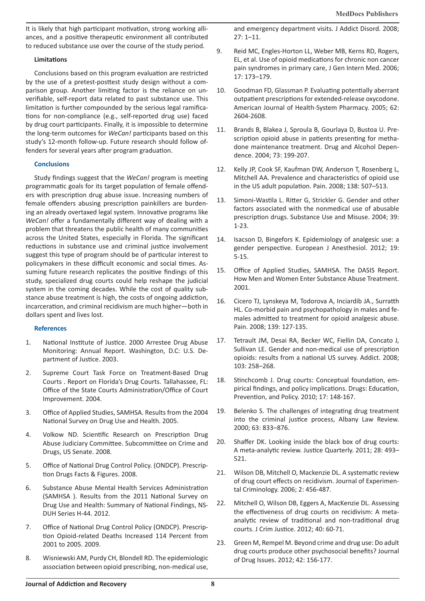It is likely that high participant motivation, strong working alliances, and a positive therapeutic environment all contributed to reduced substance use over the course of the study period.

#### **Limitations**

Conclusions based on this program evaluation are restricted by the use of a pretest-posttest study design without a comparison group. Another limiting factor is the reliance on unverifiable, self-report data related to past substance use. This limitation is further compounded by the serious legal ramifications for non-compliance (e.g., self-reported drug use) faced by drug court participants. Finally, it is impossible to determine the long-term outcomes for *WeCan!* participants based on this study's 12-month follow-up. Future research should follow offenders for several years after program graduation.

#### **Conclusions**

Study findings suggest that the *WeCan!* program is meeting programmatic goals for its target population of female offenders with prescription drug abuse issue. Increasing numbers of female offenders abusing prescription painkillers are burdening an already overtaxed legal system. Innovative programs like *WeCan!* offer a fundamentally different way of dealing with a problem that threatens the public health of many communities across the United States, especially in Florida. The significant reductions in substance use and criminal justice involvement suggest this type of program should be of particular interest to policymakers in these difficult economic and social times. Assuming future research replicates the positive findings of this study, specialized drug courts could help reshape the judicial system in the coming decades. While the cost of quality substance abuse treatment is high, the costs of ongoing addiction, incarceration, and criminal recidivism are much higher—both in dollars spent and lives lost.

#### **References**

- 1. National Institute of Justice. 2000 Arrestee Drug Abuse Monitoring: Annual Report. Washington, D.C: U.S. Department of Justice. 2003.
- 2. Supreme Court Task Force on Treatment-Based Drug Courts . Report on Florida's Drug Courts. Tallahassee, FL: Office of the State Courts Administration/Office of Court Improvement. 2004.
- 3. Office of Applied Studies, SAMHSA. Results from the 2004 National Survey on Drug Use and Health. 2005.
- 4. Volkow ND. Scientific Research on Prescription Drug Abuse Judiciary Committee. Subcommittee on Crime and Drugs, US Senate. 2008.
- 5. Office of National Drug Control Policy. (ONDCP). Prescription Drugs Facts & Figures. 2008.
- 6. Substance Abuse Mental Health Services Administration (SAMHSA ). Results from the 2011 National Survey on Drug Use and Health: Summary of National Findings, NS-DUH Series H-44. 2012.
- 7. Office of National Drug Control Policy (ONDCP). Prescription Opioid-related Deaths Increased 114 Percent from 2001 to 2005. 2009.
- 8. Wisniewski AM, Purdy CH, Blondell RD. The epidemiologic association between opioid prescribing, non-medical use,

and emergency department visits. J Addict Disord. 2008; 27: 1–11.

- 9. Reid MC, Engles-Horton LL, Weber MB, Kerns RD, Rogers, EL, et al. Use of opioid medications for chronic non cancer pain syndromes in primary care, J Gen Intern Med. 2006; 17: 173–179.
- 10. Goodman FD, Glassman P. Evaluating potentially aberrant outpatient prescriptions for extended-release oxycodone. American Journal of Health-System Pharmacy. 2005; 62: 2604-2608.
- 11. Brands B, Blakea J, Sproula B, Gourlaya D, Bustoa U. Prescription opioid abuse in patients presenting for methadone maintenance treatment. Drug and Alcohol Dependence. 2004; 73: 199-207.
- 12. Kelly JP, Cook SF, Kaufman DW, Anderson T, Rosenberg L, Mitchell AA. Prevalence and characteristics of opioid use in the US adult population. Pain. 2008; 138: 507–513.
- 13. Simoni-Wastila L. Ritter G, Strickler G. Gender and other factors associated with the nonmedical use of abusable prescription drugs. Substance Use and Misuse. 2004; 39: 1-23.
- 14. Isacson D, Bingefors K. Epidemiology of analgesic use: a gender perspective. European J Anesthesiol. 2012; 19: 5-15.
- 15. Office of Applied Studies, SAMHSA. The DASIS Report. How Men and Women Enter Substance Abuse Treatment. 2001.
- 16. Cicero TJ, Lynskeya M, Todorova A, Inciardib JA., Surratth HL. Co-morbid pain and psychopathology in males and females admitted to treatment for opioid analgesic abuse. Pain. 2008; 139: 127-135.
- 17. Tetrault JM, Desai RA, Becker WC, Fiellin DA, Concato J, Sullivan LE. Gender and non-medical use of prescription opioids: results from a national US survey. Addict. 2008; 103: 258–268.
- 18. Stinchcomb J. Drug courts: Conceptual foundation, empirical findings, and policy implications. Drugs: Education, Prevention, and Policy. 2010; 17: 148-167.
- 19. Belenko S. The challenges of integrating drug treatment into the criminal justice process, Albany Law Review. 2000; 63: 833–876.
- 20. Shaffer DK. Looking inside the black box of drug courts: A meta-analytic review. Justice Quarterly. 2011; 28: 493– 521.
- 21. Wilson DB, Mitchell O, Mackenzie DL. A systematic review of drug court effects on recidivism. Journal of Experimental Criminology. 2006; 2: 456-487.
- 22. Mitchell O, Wilson DB, Eggers A, MacKenzie DL. Assessing the effectiveness of drug courts on recidivism: A metaanalytic review of traditional and non-traditional drug courts. J Crim Justice. 2012; 40: 60-71.
- 23. Green M, Rempel M. Beyond crime and drug use: Do adult drug courts produce other psychosocial benefits? Journal of Drug Issues. 2012; 42: 156-177.